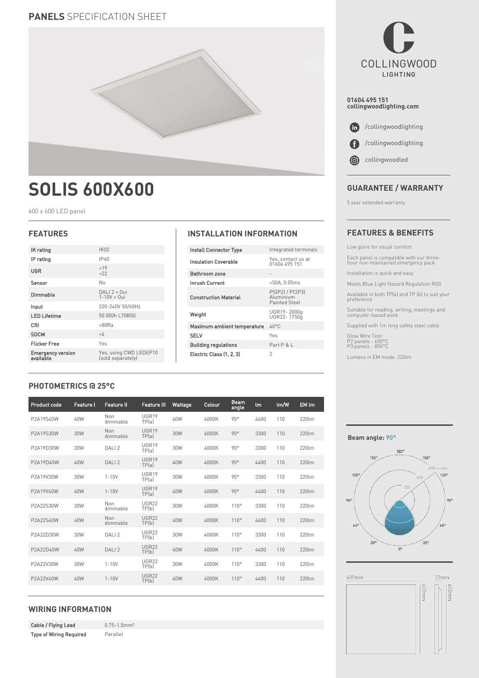# **PANELS** SPECIFICATION SHEET



# **SOLIS 600X600**

600 x 600 LED panel

| IK rating                             | <b>IK02</b>                                 |  |  |  |  |
|---------------------------------------|---------------------------------------------|--|--|--|--|
| IP rating                             | IP40                                        |  |  |  |  |
| UGR                                   | < 19<br>22                                  |  |  |  |  |
| Sensor                                | No                                          |  |  |  |  |
| Dimmable                              | $DALI 2 = 0$ ui<br>$1 - 10V = 0$ ui         |  |  |  |  |
| Input                                 | 220-240V 50/60Hz                            |  |  |  |  |
| <b>LED Lifetime</b>                   | 50 000h L70B50                              |  |  |  |  |
| <b>CRI</b>                            | >80Ra                                       |  |  |  |  |
| <b>SDCM</b>                           | < 6                                         |  |  |  |  |
| <b>Flicker Free</b>                   | Yes                                         |  |  |  |  |
| <b>Emergency version</b><br>available | Yes, using CWD LEDEP10<br>(sold separately) |  |  |  |  |
|                                       |                                             |  |  |  |  |

# **FEATURES INSTALLATION INFORMATION**

| <b>Install Connector Type</b> | Integrated terminals                          |  |  |  |
|-------------------------------|-----------------------------------------------|--|--|--|
| Insulation Coverable          | Yes, contact us at<br>01604 495 151           |  |  |  |
| Bathroom zone                 |                                               |  |  |  |
| Inrush Current                | <50A, 0.05ms                                  |  |  |  |
| <b>Construction Material</b>  | PS(P2) / PC(P3)<br>Aluminium<br>Painted Steel |  |  |  |
| Weight                        | UGR19-2000q<br>UGR22-1750q                    |  |  |  |
| Maximum ambient temperature   | LN°C                                          |  |  |  |
| <b>SELV</b>                   | Yes                                           |  |  |  |
| <b>Building regulations</b>   | Part P & L                                    |  |  |  |
| Electric Class (1, 2, 3)      | 2                                             |  |  |  |

**COLLINGWOOD** LIGHTING **01604 495 151 collingwoodlighting.com**  $\bullet$ /collingwoodlighting

 /collingwoodlighting O

 collingwoodled  $\odot$ 

# **GUARANTEE / WARRANTY**

5 year extended warranty

# **FEATURES & BENEFITS**

Low glare for visual comfort

Each panel is compatible with our three-hour non-maintained emergency pack

Installation is quick and easy

Meets Blue Light Hazard Regulation RG0

Available in both TP(a) and TP (b) to suit your preference

Suitable for reading, writing, meetings and computer-based work

Supplied with 1m long safety steel cable

Glow Wire Test: P2 panels - 650°C P3 panels - 850°C

Lumens in EM mode: 220lm

# **PHOTOMETRICS @ 25°C**

| Product code | <b>Feature I</b> | <b>Feature II</b> | <b>Feature III</b>    | Wattage | Colour | <b>Beam</b><br>angle | <b>Im</b> | lm/W | EM Im |
|--------------|------------------|-------------------|-----------------------|---------|--------|----------------------|-----------|------|-------|
| P2A19S40W    | 40W              | Non<br>dimmable   | UGR19<br>TP(a)        | 40W     | 4000K  | $90^\circ$           | 4400      | 110  | 220lm |
| P2A19S30W    | 30W              | Non<br>dimmable   | UGR19<br>TP(a)        | 30W     | 4000K  | $90^\circ$           | 3300      | 110  | 220lm |
| P2A19D30W    | 30W              | DALI <sub>2</sub> | UGR19<br>TP(a)        | 30W     | 4000K  | $90^{\circ}$         | 3300      | 110  | 220lm |
| P2A19D40W    | 40W              | DALI <sub>2</sub> | UGR19<br>TP(a)        | 40W     | 4000K  | $90^\circ$           | 4400      | 110  | 220lm |
| P2A19V30W    | 30W              | $1 - 10V$         | UGR19<br>TP(a)        | 30W     | 4000K  | $90^{\circ}$         | 3300      | 110  | 220lm |
| P2A19V40W    | 40W              | $1 - 10V$         | UGR19<br>TP(a)        | 40W     | 4000K  | $90^\circ$           | 4400      | 110  | 220lm |
| P2A22S30W    | 30W              | Non<br>dimmable   | <b>UGR22</b><br>TP(b) | 30W     | 4000K  | 110°                 | 3300      | 110  | 220lm |
| P2A22S40W    | 40W              | Non<br>dimmable   | <b>UGR22</b><br>TP(b) | 40W     | 4000K  | 110°                 | 4400      | 110  | 220lm |
| P2A22D30W    | 30W              | DALI <sub>2</sub> | <b>UGR22</b><br>TP(b) | 30W     | 4000K  | 110°                 | 3300      | 110  | 220lm |
| P2A22D40W    | 40W              | DALI <sub>2</sub> | <b>UGR22</b><br>TP(b) | 40W     | 4000K  | 110°                 | 4400      | 110  | 220lm |
| P2A22V30W    | 30W              | $1 - 10V$         | <b>UGR22</b><br>TP(b) | 30W     | 4000K  | 110°                 | 3300      | 110  | 220lm |
| P2A22V40W    | 40W              | $1 - 10V$         | <b>UGR22</b><br>TP(b) | 40W     | 4000K  | 110°                 | 4400      | 110  | 220lm |

# **WIRING INFORMATION**

Cable / Flying Lead 0.75-1.5mm<sup>2</sup> Type of Wiring Required Parallel

#### **Beam angle: 90°**